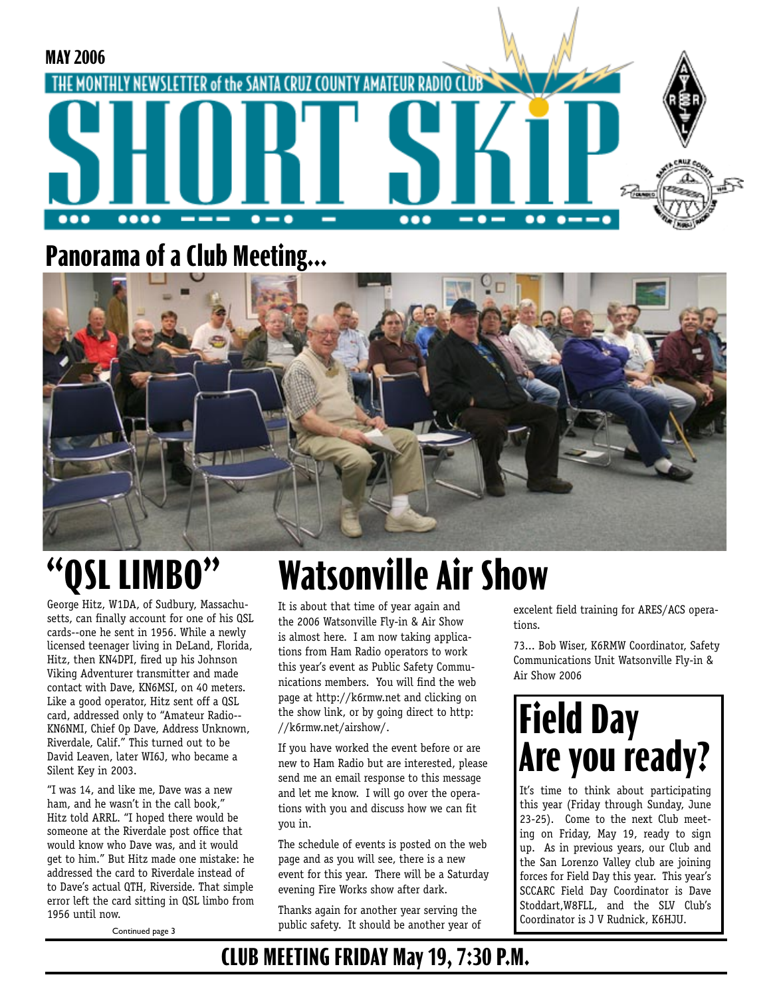

## **Panorama of a Club Meeting...**



# **"QSL LIMBO"**

George Hitz, W1DA, of Sudbury, Massachusetts, can finally account for one of his QSL cards--one he sent in 1956. While a newly licensed teenager living in DeLand, Florida, Hitz, then KN4DPI, fired up his Johnson Viking Adventurer transmitter and made contact with Dave, KN6MSI, on 40 meters. Like a good operator, Hitz sent off a QSL card, addressed only to "Amateur Radio-- KN6NMI, Chief Op Dave, Address Unknown, Riverdale, Calif." This turned out to be David Leaven, later WI6J, who became a Silent Key in 2003.

"I was 14, and like me, Dave was a new ham, and he wasn't in the call book," Hitz told ARRL. "I hoped there would be someone at the Riverdale post office that would know who Dave was, and it would get to him." But Hitz made one mistake: he addressed the card to Riverdale instead of to Dave's actual QTH, Riverside. That simple error left the card sitting in QSL limbo from 1956 until now.

# **Watsonville Air Show**

It is about that time of year again and the 2006 Watsonville Fly-in & Air Show is almost here. I am now taking applications from Ham Radio operators to work this year's event as Public Safety Communications members. You will find the web page at http://k6rmw.net and clicking on the show link, or by going direct to http: //k6rmw.net/airshow/.

If you have worked the event before or are new to Ham Radio but are interested, please send me an email response to this message and let me know. I will go over the operations with you and discuss how we can fit you in.

The schedule of events is posted on the web page and as you will see, there is a new event for this year. There will be a Saturday evening Fire Works show after dark.

Thanks again for another year serving the public safety. It should be another year of excelent field training for ARES/ACS operations.

73... Bob Wiser, K6RMW Coordinator, Safety Communications Unit Watsonville Fly-in & Air Show 2006

## **Field Day Are you ready?**

It's time to think about participating this year (Friday through Sunday, June 23-25). Come to the next Club meeting on Friday, May 19, ready to sign up. As in previous years, our Club and the San Lorenzo Valley club are joining forces for Field Day this year. This year's SCCARC Field Day Coordinator is Dave Stoddart,W8FLL, and the SLV Club's Coordinator is J V Rudnick, K6HJU.

Continued page 3

### **CLUB MEETING FRIDAY May 19, 7:30 P.M.**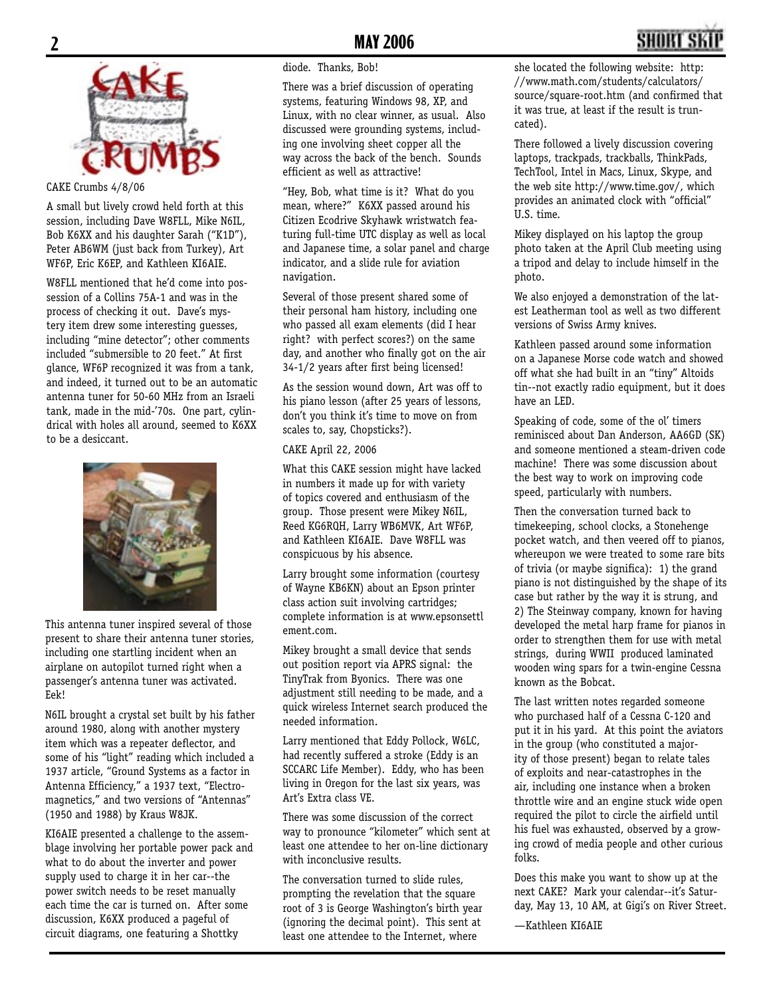

#### CAKE Crumbs 4/8/06

A small but lively crowd held forth at this session, including Dave W8FLL, Mike N6IL, Bob K6XX and his daughter Sarah ("K1D"), Peter AB6WM (just back from Turkey), Art WF6P, Eric K6EP, and Kathleen KI6AIE.

W8FLL mentioned that he'd come into possession of a Collins 75A-1 and was in the process of checking it out. Dave's mystery item drew some interesting guesses, including "mine detector"; other comments included "submersible to 20 feet." At first glance, WF6P recognized it was from a tank, and indeed, it turned out to be an automatic antenna tuner for 50-60 MHz from an Israeli tank, made in the mid-'70s. One part, cylindrical with holes all around, seemed to K6XX to be a desiccant.



This antenna tuner inspired several of those present to share their antenna tuner stories, including one startling incident when an airplane on autopilot turned right when a passenger's antenna tuner was activated. Eek!

N6IL brought a crystal set built by his father around 1980, along with another mystery item which was a repeater deflector, and some of his "light" reading which included a 1937 article, "Ground Systems as a factor in Antenna Efficiency," a 1937 text, "Electromagnetics," and two versions of "Antennas" (1950 and 1988) by Kraus W8JK.

KI6AIE presented a challenge to the assemblage involving her portable power pack and what to do about the inverter and power supply used to charge it in her car--the power switch needs to be reset manually each time the car is turned on. After some discussion, K6XX produced a pageful of circuit diagrams, one featuring a Shottky

diode. Thanks, Bob!

There was a brief discussion of operating systems, featuring Windows 98, XP, and Linux, with no clear winner, as usual. Also discussed were grounding systems, including one involving sheet copper all the way across the back of the bench. Sounds efficient as well as attractive!

"Hey, Bob, what time is it? What do you mean, where?" K6XX passed around his Citizen Ecodrive Skyhawk wristwatch featuring full-time UTC display as well as local and Japanese time, a solar panel and charge indicator, and a slide rule for aviation navigation.

Several of those present shared some of their personal ham history, including one who passed all exam elements (did I hear right? with perfect scores?) on the same day, and another who finally got on the air 34-1/2 years after first being licensed!

As the session wound down, Art was off to his piano lesson (after 25 years of lessons, don't you think it's time to move on from scales to, say, Chopsticks?).

CAKE April 22, 2006

What this CAKE session might have lacked in numbers it made up for with variety of topics covered and enthusiasm of the group. Those present were Mikey N6IL, Reed KG6RQH, Larry WB6MVK, Art WF6P, and Kathleen KI6AIE. Dave W8FLL was conspicuous by his absence.

Larry brought some information (courtesy of Wayne KB6KN) about an Epson printer class action suit involving cartridges; complete information is at www.epsonsettl ement.com.

Mikey brought a small device that sends out position report via APRS signal: the TinyTrak from Byonics. There was one adjustment still needing to be made, and a quick wireless Internet search produced the needed information.

Larry mentioned that Eddy Pollock, W6LC, had recently suffered a stroke (Eddy is an SCCARC Life Member). Eddy, who has been living in Oregon for the last six years, was Art's Extra class VE.

There was some discussion of the correct way to pronounce "kilometer" which sent at least one attendee to her on-line dictionary with inconclusive results.

The conversation turned to slide rules, prompting the revelation that the square root of 3 is George Washington's birth year (ignoring the decimal point). This sent at least one attendee to the Internet, where

### **2 MAY 2006 3**

she located the following website: http: //www.math.com/students/calculators/ source/square-root.htm (and confirmed that it was true, at least if the result is truncated).

There followed a lively discussion covering laptops, trackpads, trackballs, ThinkPads, TechTool, Intel in Macs, Linux, Skype, and the web site http://www.time.gov/, which provides an animated clock with "official" U.S. time.

Mikey displayed on his laptop the group photo taken at the April Club meeting using a tripod and delay to include himself in the photo.

We also enjoyed a demonstration of the latest Leatherman tool as well as two different versions of Swiss Army knives.

Kathleen passed around some information on a Japanese Morse code watch and showed off what she had built in an "tiny" Altoids tin--not exactly radio equipment, but it does have an LED.

Speaking of code, some of the ol' timers reminisced about Dan Anderson, AA6GD (SK) and someone mentioned a steam-driven code machine! There was some discussion about the best way to work on improving code speed, particularly with numbers.

Then the conversation turned back to timekeeping, school clocks, a Stonehenge pocket watch, and then veered off to pianos, whereupon we were treated to some rare bits of trivia (or maybe significa): 1) the grand piano is not distinguished by the shape of its case but rather by the way it is strung, and 2) The Steinway company, known for having developed the metal harp frame for pianos in order to strengthen them for use with metal strings, during WWII produced laminated wooden wing spars for a twin-engine Cessna known as the Bobcat.

The last written notes regarded someone who purchased half of a Cessna C-120 and put it in his yard. At this point the aviators in the group (who constituted a majority of those present) began to relate tales of exploits and near-catastrophes in the air, including one instance when a broken throttle wire and an engine stuck wide open required the pilot to circle the airfield until his fuel was exhausted, observed by a growing crowd of media people and other curious folks.

Does this make you want to show up at the next CAKE? Mark your calendar--it's Saturday, May 13, 10 AM, at Gigi's on River Street.

—Kathleen KI6AIE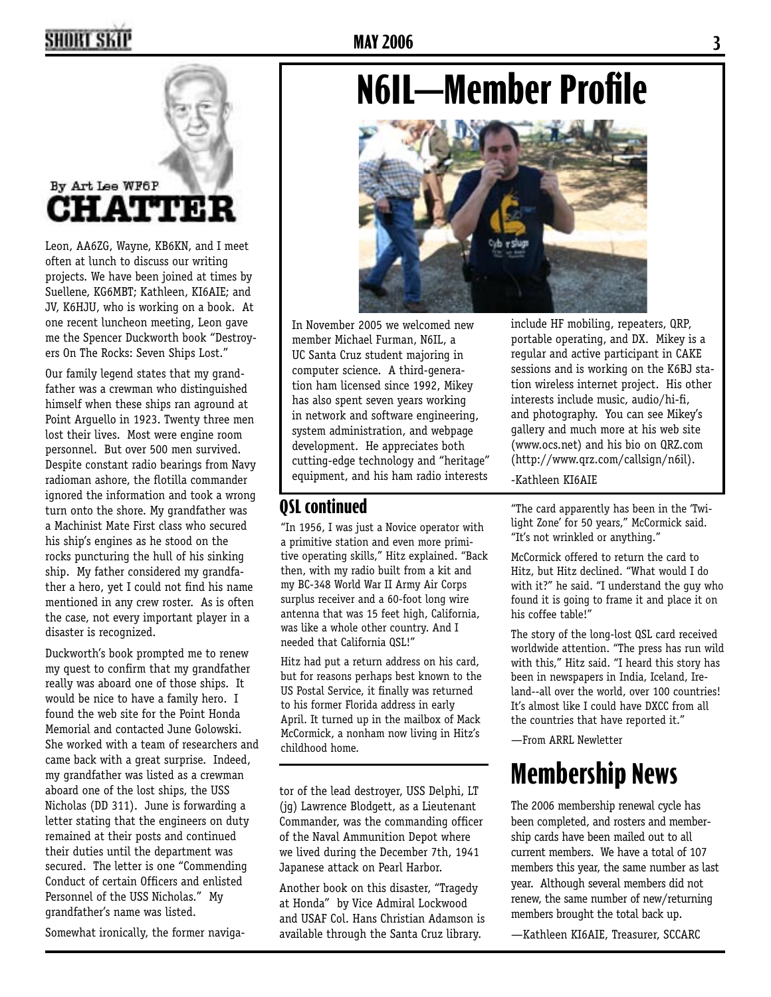### **2 MAY 2006 3 MAY 2006 3**



### By Art Lee WF6P **HATTER**

Leon, AA6ZG, Wayne, KB6KN, and I meet often at lunch to discuss our writing projects. We have been joined at times by Suellene, KG6MBT; Kathleen, KI6AIE; and JV, K6HJU, who is working on a book. At one recent luncheon meeting, Leon gave me the Spencer Duckworth book "Destroyers On The Rocks: Seven Ships Lost."

Our family legend states that my grandfather was a crewman who distinguished himself when these ships ran aground at Point Arguello in 1923. Twenty three men lost their lives. Most were engine room personnel. But over 500 men survived. Despite constant radio bearings from Navy radioman ashore, the flotilla commander ignored the information and took a wrong turn onto the shore. My grandfather was a Machinist Mate First class who secured his ship's engines as he stood on the rocks puncturing the hull of his sinking ship. My father considered my grandfather a hero, yet I could not find his name mentioned in any crew roster. As is often the case, not every important player in a disaster is recognized.

Duckworth's book prompted me to renew my quest to confirm that my grandfather really was aboard one of those ships. It would be nice to have a family hero. I found the web site for the Point Honda Memorial and contacted June Golowski. She worked with a team of researchers and came back with a great surprise. Indeed, my grandfather was listed as a crewman aboard one of the lost ships, the USS Nicholas (DD 311). June is forwarding a letter stating that the engineers on duty remained at their posts and continued their duties until the department was secured. The letter is one "Commending Conduct of certain Officers and enlisted Personnel of the USS Nicholas." My grandfather's name was listed.

Somewhat ironically, the former naviga-

# **N6IL—Member Profile**



In November 2005 we welcomed new member Michael Furman, N6IL, a UC Santa Cruz student majoring in computer science. A third-generation ham licensed since 1992, Mikey has also spent seven years working in network and software engineering, system administration, and webpage development. He appreciates both cutting-edge technology and "heritage" equipment, and his ham radio interests

#### **QSL continued**

"In 1956, I was just a Novice operator with a primitive station and even more primitive operating skills," Hitz explained. "Back then, with my radio built from a kit and my BC-348 World War II Army Air Corps surplus receiver and a 60-foot long wire antenna that was 15 feet high, California, was like a whole other country. And I needed that California QSL!"

Hitz had put a return address on his card, but for reasons perhaps best known to the US Postal Service, it finally was returned to his former Florida address in early April. It turned up in the mailbox of Mack McCormick, a nonham now living in Hitz's childhood home.

tor of the lead destroyer, USS Delphi, LT (jg) Lawrence Blodgett, as a Lieutenant Commander, was the commanding officer of the Naval Ammunition Depot where we lived during the December 7th, 1941 Japanese attack on Pearl Harbor.

Another book on this disaster, "Tragedy at Honda" by Vice Admiral Lockwood and USAF Col. Hans Christian Adamson is available through the Santa Cruz library.

include HF mobiling, repeaters, QRP, portable operating, and DX. Mikey is a regular and active participant in CAKE sessions and is working on the K6BJ station wireless internet project. His other interests include music, audio/hi-fi, and photography. You can see Mikey's gallery and much more at his web site (www.ocs.net) and his bio on QRZ.com (http://www.qrz.com/callsign/n6il).

-Kathleen KI6AIE

"The card apparently has been in the 'Twilight Zone' for 50 years," McCormick said. "It's not wrinkled or anything."

McCormick offered to return the card to Hitz, but Hitz declined. "What would I do with it?" he said. "I understand the guy who found it is going to frame it and place it on his coffee table!"

The story of the long-lost QSL card received worldwide attention. "The press has run wild with this," Hitz said. "I heard this story has been in newspapers in India, Iceland, Ireland--all over the world, over 100 countries! It's almost like I could have DXCC from all the countries that have reported it."

—From ARRL Newletter

## **Membership News**

The 2006 membership renewal cycle has been completed, and rosters and membership cards have been mailed out to all current members. We have a total of 107 members this year, the same number as last year. Although several members did not renew, the same number of new/returning members brought the total back up.

—Kathleen KI6AIE, Treasurer, SCCARC